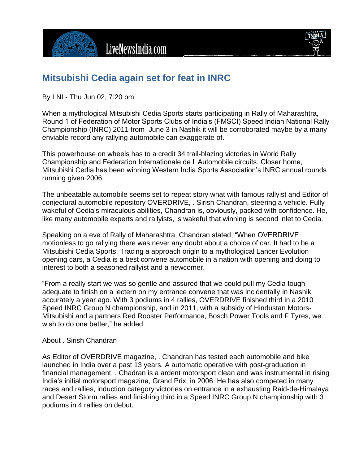



## **Mitsubishi Cedia again set for feat in INRC**

By LNI - Thu Jun 02, 7:20 pm

When a mythological Mitsubishi Cedia Sports starts participating in Rally of Maharashtra, Round 1 of Federation of Motor Sports Clubs of India's (FMSCI) Speed Indian National Rally Championship (INRC) 2011 from June 3 in Nashik it will be corroborated maybe by a many enviable record any rallying automobile can exaggerate of.

This powerhouse on wheels has to a credit 34 trail-blazing victories in World Rally Championship and Federation Internationale de l' Automobile circuits. Closer home, Mitsubishi Cedia has been winning Western India Sports Association's INRC annual rounds running given 2006.

The unbeatable automobile seems set to repeat story what with famous rallyist and Editor of conjectural automobile repository OVERDRIVE, . Sirish Chandran, steering a vehicle. Fully wakeful of Cedia's miraculous abilities, Chandran is, obviously, packed with confidence. He, like many automobile experts and rallyists, is wakeful that winning is second inlet to Cedia.

Speaking on a eve of Rally of Maharashtra, Chandran stated, "When OVERDRIVE motionless to go rallying there was never any doubt about a choice of car. It had to be a Mitsubishi Cedia Sports. Tracing a approach origin to a mythological Lancer Evolution opening cars, a Cedia is a best convene automobile in a nation with opening and doing to interest to both a seasoned rallyist and a newcomer.

"From a really start we was so gentle and assured that we could pull my Cedia tough adequate to finish on a lectern on my entrance convene that was incidentally in Nashik accurately a year ago. With 3 podiums in 4 rallies, OVERDRIVE finished third in a 2010 Speed INRC Group N championship, and in 2011, with a subsidy of Hindustan Motors-Mitsubishi and a partners Red Rooster Performance, Bosch Power Tools and F Tyres, we wish to do one better," he added.

## About . Sirish Chandran

As Editor of OVERDRIVE magazine, . Chandran has tested each automobile and bike launched in India over a past 13 years. A automatic operative with post-graduation in financial management, . Chadran is a ardent motorsport clean and was instrumental in rising India's initial motorsport magazine, Grand Prix, in 2006. He has also competed in many races and rallies, induction category victories on entrance in a exhausting Raid-de-Himalaya and Desert Storm rallies and finishing third in a Speed INRC Group N championship with 3 podiums in 4 rallies on debut.